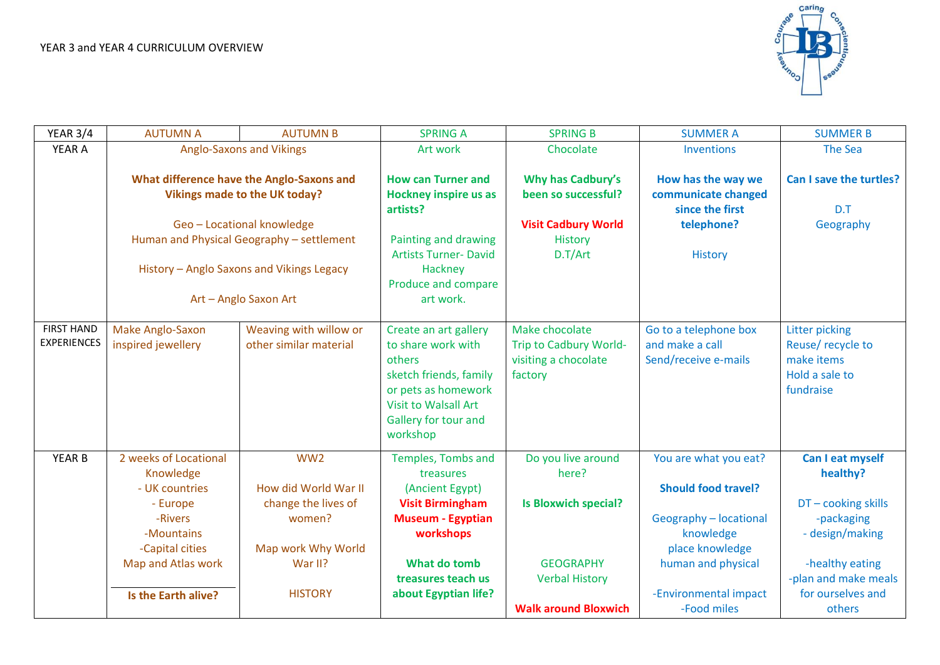

| <b>YEAR 3/4</b>                         | <b>AUTUMN A</b>                                                                                                                                                                                                                    | <b>AUTUMN B</b>                                                                                           | <b>SPRING A</b>                                                                                                                                                           | <b>SPRING B</b>                                                                                         | <b>SUMMER A</b>                                                                                                                     | <b>SUMMER B</b>                                                                                                               |
|-----------------------------------------|------------------------------------------------------------------------------------------------------------------------------------------------------------------------------------------------------------------------------------|-----------------------------------------------------------------------------------------------------------|---------------------------------------------------------------------------------------------------------------------------------------------------------------------------|---------------------------------------------------------------------------------------------------------|-------------------------------------------------------------------------------------------------------------------------------------|-------------------------------------------------------------------------------------------------------------------------------|
| YEAR A                                  | <b>Anglo-Saxons and Vikings</b>                                                                                                                                                                                                    |                                                                                                           | Art work                                                                                                                                                                  | Chocolate                                                                                               | Inventions                                                                                                                          | <b>The Sea</b>                                                                                                                |
|                                         | What difference have the Anglo-Saxons and<br><b>Vikings made to the UK today?</b><br>Geo - Locational knowledge<br>Human and Physical Geography - settlement<br>History - Anglo Saxons and Vikings Legacy<br>Art - Anglo Saxon Art |                                                                                                           | <b>How can Turner and</b><br><b>Hockney inspire us as</b><br>artists?<br>Painting and drawing<br><b>Artists Turner- David</b><br>Hackney<br>Produce and compare           | <b>Why has Cadbury's</b><br>been so successful?<br><b>Visit Cadbury World</b><br>History<br>D.T/Art     | How has the way we<br>communicate changed<br>since the first<br>telephone?<br><b>History</b>                                        | Can I save the turtles?<br>D.T<br>Geography                                                                                   |
|                                         |                                                                                                                                                                                                                                    |                                                                                                           | art work.                                                                                                                                                                 |                                                                                                         |                                                                                                                                     |                                                                                                                               |
| <b>FIRST HAND</b><br><b>EXPERIENCES</b> | Make Anglo-Saxon<br>inspired jewellery                                                                                                                                                                                             | Weaving with willow or<br>other similar material                                                          | Create an art gallery<br>to share work with<br>others<br>sketch friends, family<br>or pets as homework<br><b>Visit to Walsall Art</b><br>Gallery for tour and<br>workshop | Make chocolate<br>Trip to Cadbury World-<br>visiting a chocolate<br>factory                             | Go to a telephone box<br>and make a call<br>Send/receive e-mails                                                                    | <b>Litter picking</b><br>Reuse/recycle to<br>make items<br>Hold a sale to<br>fundraise                                        |
| <b>YEAR B</b>                           | 2 weeks of Locational<br>Knowledge<br>- UK countries<br>- Europe<br>-Rivers<br>-Mountains<br>-Capital cities<br>Map and Atlas work                                                                                                 | WW <sub>2</sub><br>How did World War II<br>change the lives of<br>women?<br>Map work Why World<br>War II? | Temples, Tombs and<br>treasures<br>(Ancient Egypt)<br><b>Visit Birmingham</b><br><b>Museum - Egyptian</b><br>workshops<br>What do tomb<br>treasures teach us              | Do you live around<br>here?<br><b>Is Bloxwich special?</b><br><b>GEOGRAPHY</b><br><b>Verbal History</b> | You are what you eat?<br><b>Should food travel?</b><br>Geography - locational<br>knowledge<br>place knowledge<br>human and physical | Can I eat myself<br>healthy?<br>DT-cooking skills<br>-packaging<br>- design/making<br>-healthy eating<br>-plan and make meals |
|                                         | Is the Earth alive?                                                                                                                                                                                                                | <b>HISTORY</b>                                                                                            | about Egyptian life?                                                                                                                                                      | <b>Walk around Bloxwich</b>                                                                             | -Environmental impact<br>-Food miles                                                                                                | for ourselves and<br>others                                                                                                   |